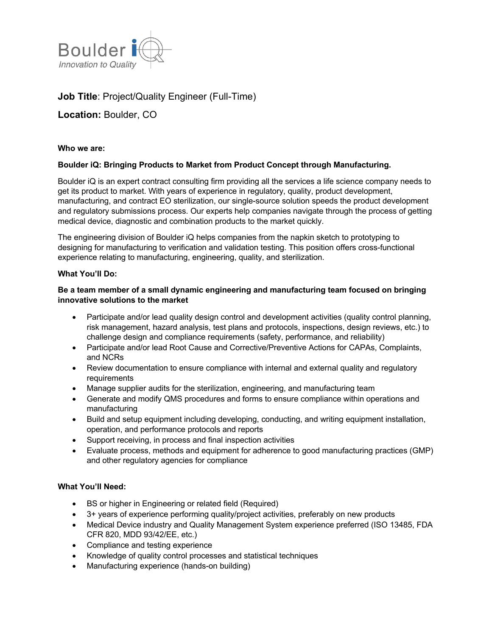

# **Job Title**: Project/Quality Engineer (Full-Time)

# **Location:** Boulder, CO

**Who we are:** 

# **Boulder iQ: Bringing Products to Market from Product Concept through Manufacturing.**

Boulder iQ is an expert contract consulting firm providing all the services a life science company needs to get its product to market. With years of experience in regulatory, quality, product development, manufacturing, and contract EO sterilization, our single-source solution speeds the product development and regulatory submissions process. Our experts help companies navigate through the process of getting medical device, diagnostic and combination products to the market quickly.

The engineering division of Boulder iQ helps companies from the napkin sketch to prototyping to designing for manufacturing to verification and validation testing. This position offers cross-functional experience relating to manufacturing, engineering, quality, and sterilization.

# **What You'll Do:**

# **Be a team member of a small dynamic engineering and manufacturing team focused on bringing innovative solutions to the market**

- Participate and/or lead quality design control and development activities (quality control planning, risk management, hazard analysis, test plans and protocols, inspections, design reviews, etc.) to challenge design and compliance requirements (safety, performance, and reliability)
- Participate and/or lead Root Cause and Corrective/Preventive Actions for CAPAs, Complaints, and NCRs
- Review documentation to ensure compliance with internal and external quality and regulatory requirements
- Manage supplier audits for the sterilization, engineering, and manufacturing team
- Generate and modify QMS procedures and forms to ensure compliance within operations and manufacturing
- Build and setup equipment including developing, conducting, and writing equipment installation, operation, and performance protocols and reports
- Support receiving, in process and final inspection activities
- Evaluate process, methods and equipment for adherence to good manufacturing practices (GMP) and other regulatory agencies for compliance

# **What You'll Need:**

- BS or higher in Engineering or related field (Required)
- 3+ years of experience performing quality/project activities, preferably on new products
- Medical Device industry and Quality Management System experience preferred (ISO 13485, FDA CFR 820, MDD 93/42/EE, etc.)
- Compliance and testing experience
- Knowledge of quality control processes and statistical techniques
- Manufacturing experience (hands-on building)